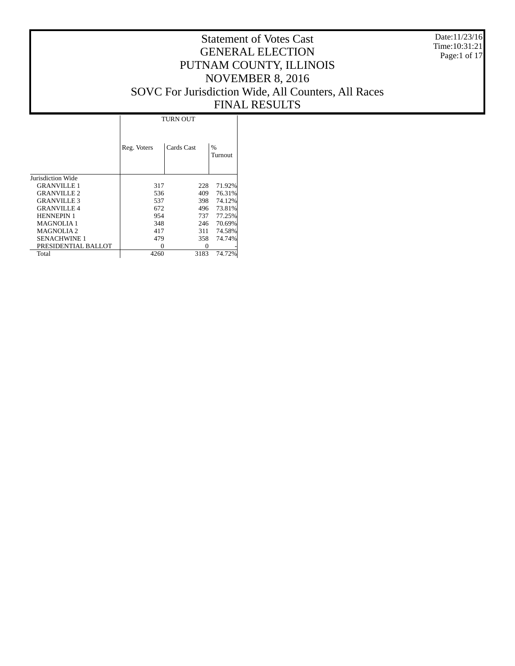Date:11/23/16 Time:10:31:21 Page:1 of 17

|                     | <b>TURN OUT</b> |            |                          |  |  |  |  |  |
|---------------------|-----------------|------------|--------------------------|--|--|--|--|--|
|                     | Reg. Voters     | Cards Cast | $\frac{0}{0}$<br>Turnout |  |  |  |  |  |
| Jurisdiction Wide   |                 |            |                          |  |  |  |  |  |
| <b>GRANVILLE 1</b>  | 317             | 228        | 71.92%                   |  |  |  |  |  |
| <b>GRANVILLE 2</b>  | 536             | 409        | 76.31%                   |  |  |  |  |  |
| <b>GRANVILLE 3</b>  | 537             | 398        | 74.12%                   |  |  |  |  |  |
| <b>GRANVILLE 4</b>  | 672             | 496        | 73.81%                   |  |  |  |  |  |
| <b>HENNEPIN 1</b>   | 954             | 737        | 77.25%                   |  |  |  |  |  |
| <b>MAGNOLIA1</b>    | 348             | 246        | 70.69%                   |  |  |  |  |  |
| <b>MAGNOLIA2</b>    | 417             | 311        | 74.58%                   |  |  |  |  |  |
| <b>SENACHWINE 1</b> | 479             | 358        | 74.74%                   |  |  |  |  |  |
| PRESIDENTIAL BALLOT | 0               | 0          |                          |  |  |  |  |  |
| Total               | 4260            | 3183       | 74.72%                   |  |  |  |  |  |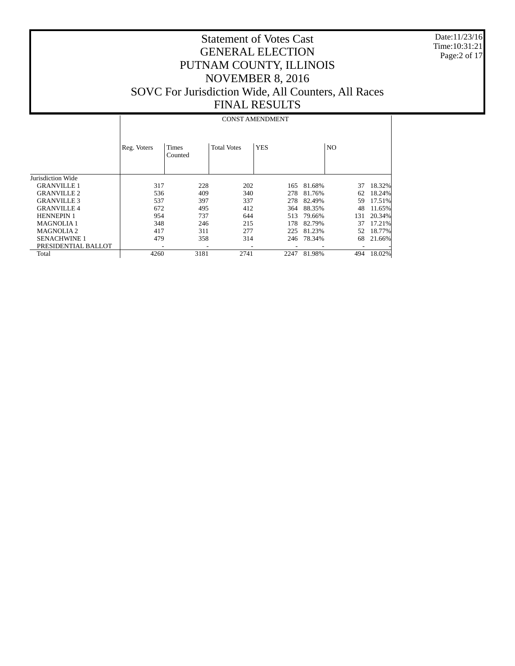Date:11/23/16 Time:10:31:21 Page:2 of 17

| Reg. Voters | Times<br>Counted | <b>Total Votes</b>                                                          | <b>YES</b>                                    |                                                                                | N <sub>O</sub> |        |  |  |  |  |  |
|-------------|------------------|-----------------------------------------------------------------------------|-----------------------------------------------|--------------------------------------------------------------------------------|----------------|--------|--|--|--|--|--|
|             |                  |                                                                             |                                               |                                                                                |                |        |  |  |  |  |  |
|             |                  |                                                                             | 165                                           | 81.68%                                                                         | 37             | 18.32% |  |  |  |  |  |
|             |                  |                                                                             | 278                                           | 81.76%                                                                         | 62             | 18.24% |  |  |  |  |  |
|             |                  |                                                                             | 278                                           | 82.49%                                                                         | 59             | 17.51% |  |  |  |  |  |
|             |                  |                                                                             | 364                                           | 88.35%                                                                         | 48             | 11.65% |  |  |  |  |  |
|             |                  |                                                                             | 513                                           | 79.66%                                                                         | 131            | 20.34% |  |  |  |  |  |
|             |                  |                                                                             | 178                                           | 82.79%                                                                         | 37             | 17.21% |  |  |  |  |  |
|             |                  |                                                                             | 225                                           | 81.23%                                                                         | 52             | 18.77% |  |  |  |  |  |
|             |                  |                                                                             |                                               | 78.34%                                                                         | 68             | 21.66% |  |  |  |  |  |
|             |                  |                                                                             |                                               |                                                                                |                |        |  |  |  |  |  |
|             |                  | 2741                                                                        | 2247                                          | 81.98%                                                                         | 494            | 18.02% |  |  |  |  |  |
|             |                  | 317<br>536<br>537<br>672<br>954<br>348<br>417<br>311<br>479<br>4260<br>3181 | 228<br>409<br>397<br>495<br>737<br>246<br>358 | <b>CONST AMENDMENT</b><br>202<br>340<br>337<br>412<br>644<br>215<br>277<br>314 | 246            |        |  |  |  |  |  |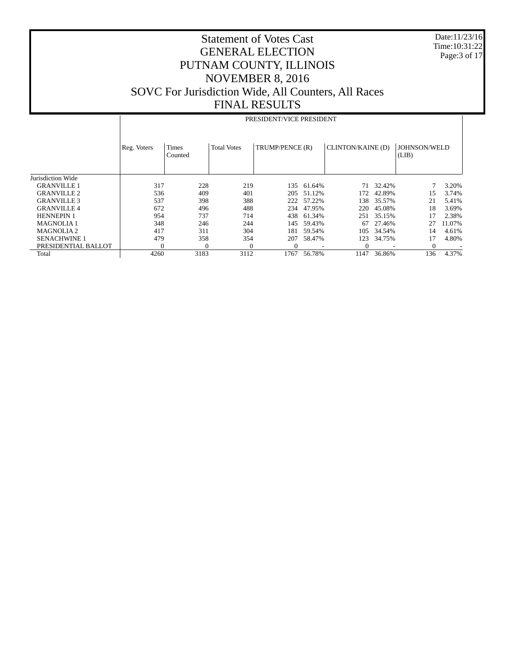Date:11/23/16 Time:10:31:22 Page:3 of 17

|                     |             | PRESIDENT/VICE PRESIDENT |                    |                 |        |                   |        |                       |        |  |  |  |  |
|---------------------|-------------|--------------------------|--------------------|-----------------|--------|-------------------|--------|-----------------------|--------|--|--|--|--|
|                     | Reg. Voters | Times<br>Counted         | <b>Total Votes</b> | TRUMP/PENCE (R) |        | CLINTON/KAINE (D) |        | JOHNSON/WELD<br>(LIB) |        |  |  |  |  |
| Jurisdiction Wide   |             |                          |                    |                 |        |                   |        |                       |        |  |  |  |  |
| <b>GRANVILLE 1</b>  | 317         | 228                      | 219                | 135             | 61.64% | 71                | 32.42% |                       | 3.20%  |  |  |  |  |
| <b>GRANVILLE 2</b>  | 536         | 409                      | 401                | 205             | 51.12% | 172               | 42.89% | 15                    | 3.74%  |  |  |  |  |
| <b>GRANVILLE 3</b>  | 537         | 398                      | 388                | 222             | 57.22% | 138               | 35.57% | 21                    | 5.41%  |  |  |  |  |
| <b>GRANVILLE 4</b>  | 672         | 496                      | 488                | 234             | 47.95% | 220               | 45.08% | 18                    | 3.69%  |  |  |  |  |
| <b>HENNEPIN 1</b>   | 954         | 737                      | 714                | 438             | 61.34% | 251               | 35.15% | 17                    | 2.38%  |  |  |  |  |
| <b>MAGNOLIA1</b>    | 348         | 246                      | 244                | 145             | 59.43% | 67                | 27.46% | 27                    | 11.07% |  |  |  |  |
| <b>MAGNOLIA2</b>    | 417         | 311                      | 304                | 181             | 59.54% | 105               | 34.54% | 14                    | 4.61%  |  |  |  |  |
| <b>SENACHWINE 1</b> | 479         | 358                      | 354                | 207             | 58.47% | 123               | 34.75% | 17                    | 4.80%  |  |  |  |  |
| PRESIDENTIAL BALLOT |             | $\sqrt{ }$               | $\mathbf{0}$       |                 |        |                   |        | $\mathbf{0}$          |        |  |  |  |  |
| Total               | 4260        | 3183                     | 3112               | 1767            | 56.78% | 1147              | 36.86% | 136                   | 4.37%  |  |  |  |  |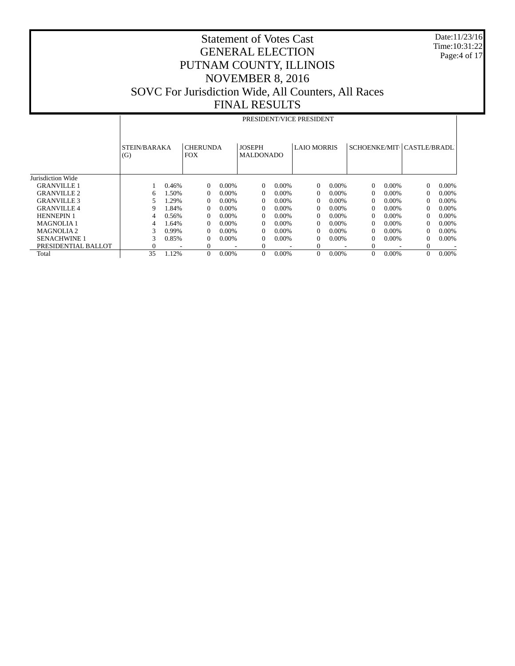Date:11/23/16 Time:10:31:22 Page:4 of 17

|                       |              | PRESIDENT/VICE PRESIDENT |                 |          |                  |          |                |          |          |          |                            |          |
|-----------------------|--------------|--------------------------|-----------------|----------|------------------|----------|----------------|----------|----------|----------|----------------------------|----------|
|                       |              |                          |                 |          |                  |          |                |          |          |          |                            |          |
|                       |              |                          |                 |          |                  |          |                |          |          |          |                            |          |
|                       | STEIN/BARAKA |                          | <b>CHERUNDA</b> |          | <b>JOSEPH</b>    |          | LAIO MORRIS    |          |          |          | SCHOENKE/MIT(CASTLE/BRADL) |          |
|                       | (G)          |                          | <b>FOX</b>      |          | <b>MALDONADO</b> |          |                |          |          |          |                            |          |
|                       |              |                          |                 |          |                  |          |                |          |          |          |                            |          |
|                       |              |                          |                 |          |                  |          |                |          |          |          |                            |          |
| Jurisdiction Wide     |              |                          |                 |          |                  |          |                |          |          |          |                            |          |
| <b>GRANVILLE 1</b>    |              | 0.46%                    | $\Omega$        | $0.00\%$ | $\Omega$         | $0.00\%$ | $\Omega$       | $0.00\%$ | $\Omega$ | $0.00\%$ | $\Omega$                   | $0.00\%$ |
| <b>GRANVILLE 2</b>    | 6            | 1.50%                    | $\Omega$        | $0.00\%$ | $\Omega$         | $0.00\%$ | $\Omega$       | $0.00\%$ | $\Omega$ | $0.00\%$ | $\Omega$                   | 0.00%    |
| <b>GRANVILLE 3</b>    | 5            | 1.29%                    | $\Omega$        | $0.00\%$ | $\Omega$         | $0.00\%$ | $\Omega$       | $0.00\%$ | 0        | $0.00\%$ | $\Omega$                   | $0.00\%$ |
| <b>GRANVILLE 4</b>    | 9            | 1.84%                    | $\Omega$        | $0.00\%$ | $\Omega$         | $0.00\%$ | $\Omega$       | $0.00\%$ | $\Omega$ | $0.00\%$ | $\Omega$                   | $0.00\%$ |
| <b>HENNEPIN 1</b>     | 4            | 0.56%                    | $\Omega$        | $0.00\%$ | $\Omega$         | $0.00\%$ | $\Omega$       | $0.00\%$ | $\Omega$ | $0.00\%$ | $\Omega$                   | $0.00\%$ |
| <b>MAGNOLIA1</b>      | 4            | 1.64%                    | $\Omega$        | $0.00\%$ | $\Omega$         | $0.00\%$ | $\Omega$       | $0.00\%$ | $\Omega$ | $0.00\%$ | $\Omega$                   | $0.00\%$ |
| MAGNOLIA <sub>2</sub> | 3            | 0.99%                    | $\Omega$        | $0.00\%$ | $\Omega$         | $0.00\%$ | $\Omega$       | $0.00\%$ | $\Omega$ | $0.00\%$ | $\Omega$                   | $0.00\%$ |
| <b>SENACHWINE 1</b>   | 3            | 0.85%                    | $\Omega$        | $0.00\%$ | $\Omega$         | $0.00\%$ | $\Omega$       | $0.00\%$ | 0        | $0.00\%$ | $\Omega$                   | $0.00\%$ |
| PRESIDENTIAL BALLOT   | $\Omega$     |                          | $\Omega$        |          | $\theta$         |          | $\overline{0}$ |          | $\Omega$ |          | $\Omega$                   |          |
| Total                 | 35           | 1.12%                    | $\Omega$        | 0.00%    | $\Omega$         | 0.00%    | $\Omega$       | 0.00%    | $\Omega$ | $0.00\%$ | $\Omega$                   | $0.00\%$ |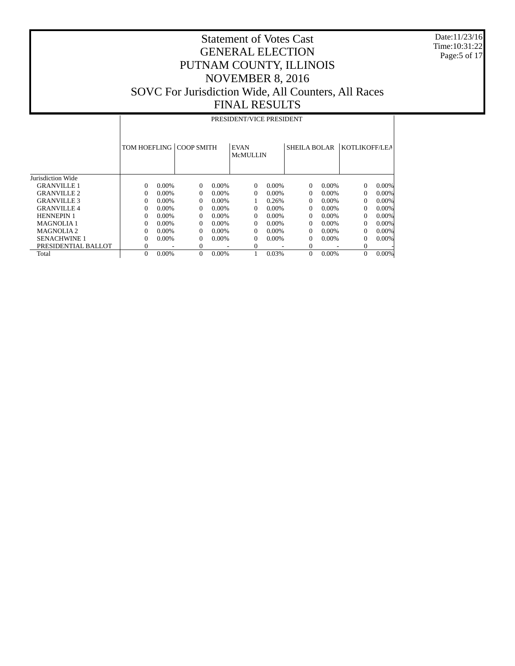Date:11/23/16 Time:10:31:22 Page:5 of 17

|                       |                | PRESIDENT/VICE PRESIDENT |                   |          |                                |          |              |          |               |          |  |  |
|-----------------------|----------------|--------------------------|-------------------|----------|--------------------------------|----------|--------------|----------|---------------|----------|--|--|
|                       | TOM HOEFLING   |                          | <b>COOP SMITH</b> |          | <b>EVAN</b><br><b>McMULLIN</b> |          | SHEILA BOLAR |          | KOTLIKOFF/LEA |          |  |  |
| Jurisdiction Wide     |                |                          |                   |          |                                |          |              |          |               |          |  |  |
| <b>GRANVILLE 1</b>    | $\Omega$       | $0.00\%$                 | $\Omega$          | $0.00\%$ | $\Omega$                       | $0.00\%$ | $\Omega$     | $0.00\%$ | 0             | $0.00\%$ |  |  |
| <b>GRANVILLE 2</b>    | $\Omega$       | $0.00\%$                 | $\Omega$          | $0.00\%$ | 0                              | $0.00\%$ | 0            | $0.00\%$ | $\Omega$      | $0.00\%$ |  |  |
| <b>GRANVILLE 3</b>    | $\Omega$       | $0.00\%$                 | $\Omega$          | $0.00\%$ |                                | 0.26%    | 0            | $0.00\%$ | $\Omega$      | $0.00\%$ |  |  |
| <b>GRANVILLE 4</b>    | $\Omega$       | $0.00\%$                 | $\Omega$          | $0.00\%$ | 0                              | $0.00\%$ | 0            | $0.00\%$ | $\Omega$      | $0.00\%$ |  |  |
| <b>HENNEPIN 1</b>     | $\Omega$       | $0.00\%$                 | $\Omega$          | $0.00\%$ | 0                              | $0.00\%$ | 0            | $0.00\%$ | $\Omega$      | $0.00\%$ |  |  |
| <b>MAGNOLIA1</b>      | $\Omega$       | $0.00\%$                 | $\Omega$          | $0.00\%$ | 0                              | $0.00\%$ | 0            | $0.00\%$ | $\Omega$      | $0.00\%$ |  |  |
| MAGNOLIA <sub>2</sub> | $\Omega$       | $0.00\%$                 | $\Omega$          | $0.00\%$ | 0                              | $0.00\%$ | 0            | $0.00\%$ | $\Omega$      | $0.00\%$ |  |  |
| <b>SENACHWINE 1</b>   | $\Omega$       | $0.00\%$                 | $\Omega$          | $0.00\%$ | 0                              | $0.00\%$ | 0            | $0.00\%$ | $\Omega$      | $0.00\%$ |  |  |
| PRESIDENTIAL BALLOT   | $\theta$       |                          | $\mathbf{0}$      |          | 0                              |          | 0            |          | 0             |          |  |  |
| Total                 | $\overline{0}$ | 0.00%                    | $\theta$          | 0.00%    |                                | 0.03%    | $\mathbf{0}$ | 0.00%    | $\mathbf{0}$  | $0.00\%$ |  |  |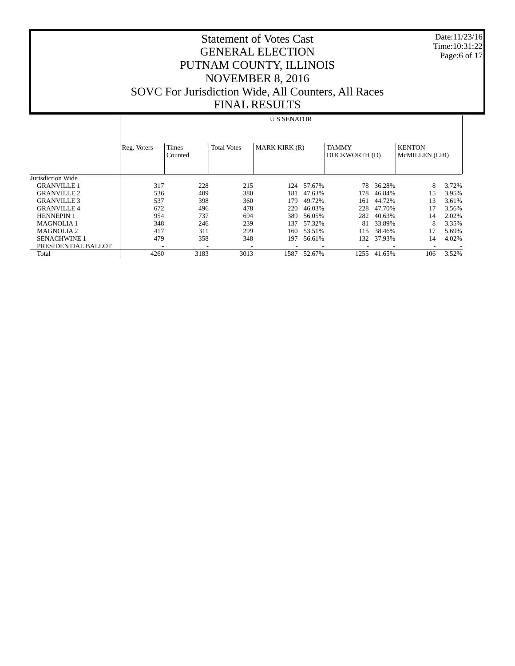Date:11/23/16 Time:10:31:22 Page:6 of 17

# Statement of Votes Cast GENERAL ELECTION PUTNAM COUNTY, ILLINOIS NOVEMBER 8, 2016 SOVC For Jurisdiction Wide, All Counters, All Races FINAL RESULTS

### U S SENATOR

|                       | Reg. Voters | Times<br>Counted | <b>Total Votes</b> | <b>MARK KIRK (R)</b> |        | <b>TAMMY</b><br>DUCKWORTH (D) |        | <b>KENTON</b><br>McMILLEN (LIB) |       |
|-----------------------|-------------|------------------|--------------------|----------------------|--------|-------------------------------|--------|---------------------------------|-------|
| Jurisdiction Wide     |             |                  |                    |                      |        |                               |        |                                 |       |
| <b>GRANVILLE 1</b>    | 317         | 228              | 215                | 124                  | 57.67% | 78                            | 36.28% | 8                               | 3.72% |
| <b>GRANVILLE 2</b>    | 536         | 409              | 380                | 181                  | 47.63% | 178                           | 46.84% | 15                              | 3.95% |
| <b>GRANVILLE 3</b>    | 537         | 398              | 360                | 179                  | 49.72% | 161                           | 44.72% | 13                              | 3.61% |
| <b>GRANVILLE 4</b>    | 672         | 496              | 478                | 220                  | 46.03% | 228                           | 47.70% |                                 | 3.56% |
| <b>HENNEPIN 1</b>     | 954         | 737              | 694                | 389                  | 56.05% | 282                           | 40.63% | 14                              | 2.02% |
| <b>MAGNOLIA1</b>      | 348         | 246              | 239                | 137                  | 57.32% | 81                            | 33.89% | 8                               | 3.35% |
| MAGNOLIA <sub>2</sub> | 417         | 311              | 299                | 160                  | 53.51% | 115                           | 38.46% |                                 | 5.69% |
| <b>SENACHWINE 1</b>   | 479         | 358              | 348                | 197                  | 56.61% | 132                           | 37.93% | 14                              | 4.02% |
| PRESIDENTIAL BALLOT   |             |                  |                    |                      |        |                               |        |                                 |       |
| Total                 | 4260        | 3183             | 3013               | 1587                 | 52.67% | 1255                          | 41.65% | 106                             | 3.52% |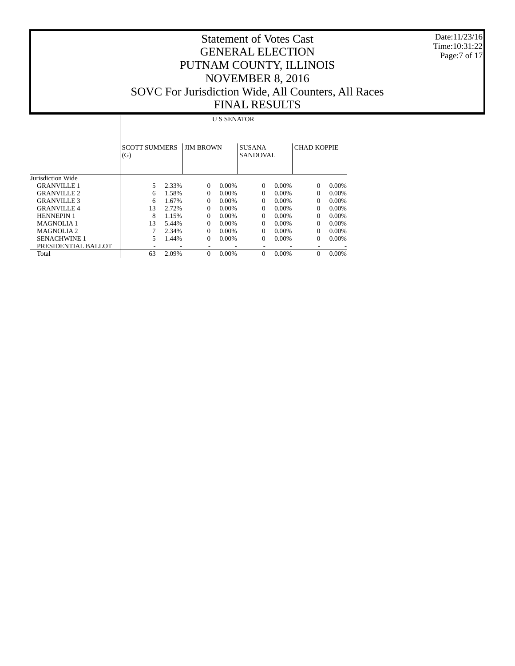Date:11/23/16 Time:10:31:22 Page:7 of 17

# Statement of Votes Cast GENERAL ELECTION PUTNAM COUNTY, ILLINOIS NOVEMBER 8, 2016 SOVC For Jurisdiction Wide, All Counters, All Races FINAL RESULTS

U S SENATOR

|                       | <b>SCOTT SUMMERS</b><br>(G) |       | <b>JIM BROWN</b> |          | <b>SUSANA</b><br>SANDOVAL. |          | <b>CHAD KOPPIE</b> |          |
|-----------------------|-----------------------------|-------|------------------|----------|----------------------------|----------|--------------------|----------|
| Jurisdiction Wide     |                             |       |                  |          |                            |          |                    |          |
| <b>GRANVILLE 1</b>    | 5                           | 2.33% | $\Omega$         | $0.00\%$ | $\Omega$                   | $0.00\%$ | $\Omega$           | $0.00\%$ |
| <b>GRANVILLE 2</b>    | 6                           | 1.58% | $\Omega$         | $0.00\%$ | $\Omega$                   | $0.00\%$ | $\Omega$           | $0.00\%$ |
| <b>GRANVILLE 3</b>    | 6                           | 1.67% | $\Omega$         | $0.00\%$ | $\Omega$                   | $0.00\%$ | $\Omega$           | $0.00\%$ |
| <b>GRANVILLE 4</b>    | 13                          | 2.72% | $\Omega$         | $0.00\%$ | $\Omega$                   | $0.00\%$ | $\Omega$           | $0.00\%$ |
| <b>HENNEPIN 1</b>     | 8                           | 1.15% | 0                | $0.00\%$ | $\Omega$                   | $0.00\%$ | $\Omega$           | $0.00\%$ |
| <b>MAGNOLIA1</b>      | 13                          | 5.44% | 0                | $0.00\%$ | $\Omega$                   | $0.00\%$ | $\Omega$           | $0.00\%$ |
| MAGNOLIA <sub>2</sub> |                             | 2.34% | $\Omega$         | $0.00\%$ | $\Omega$                   | $0.00\%$ | $\Omega$           | $0.00\%$ |
| <b>SENACHWINE 1</b>   | 5                           | 1.44% | $\Omega$         | 0.00%    | 0                          | 0.00%    | $\Omega$           | $0.00\%$ |
| PRESIDENTIAL BALLOT   |                             |       |                  |          |                            |          | ٠                  |          |
| Total                 | 63                          | 2.09% | $\Omega$         | 0.00%    | $\Omega$                   | 0.00%    | $\theta$           | 0.00%    |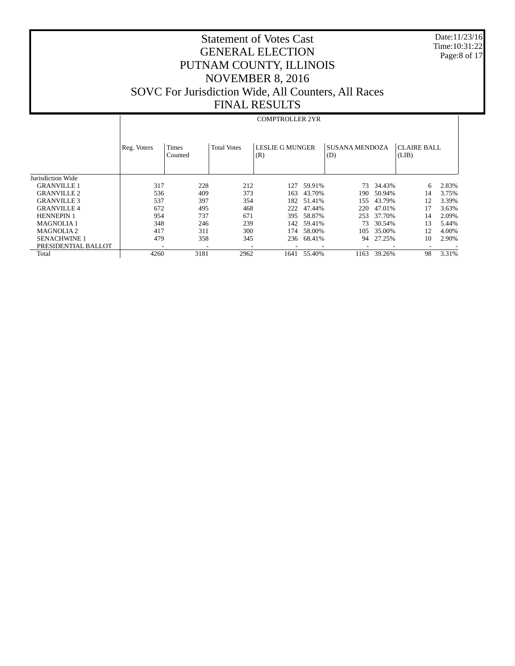Date:11/23/16 Time:10:31:22 Page:8 of 17

# Statement of Votes Cast GENERAL ELECTION PUTNAM COUNTY, ILLINOIS NOVEMBER 8, 2016 SOVC For Jurisdiction Wide, All Counters, All Races FINAL RESULTS

#### COMPTROLLER 2YR

|                     | Reg. Voters | Times<br>Counted | <b>Total Votes</b> | <b>LESLIE G MUNGER</b><br>(R) |        | <b>SUSANA MENDOZA</b><br>(D) |        | <b>CLAIRE BALL</b><br>(LIB) |       |
|---------------------|-------------|------------------|--------------------|-------------------------------|--------|------------------------------|--------|-----------------------------|-------|
| Jurisdiction Wide   |             |                  |                    |                               |        |                              |        |                             |       |
| <b>GRANVILLE 1</b>  | 317         | 228              | 212                | 127                           | 59.91% | 73                           | 34.43% | 6                           | 2.83% |
| <b>GRANVILLE 2</b>  | 536         | 409              | 373                | 163                           | 43.70% | 190                          | 50.94% | 14                          | 3.75% |
| <b>GRANVILLE 3</b>  | 537         | 397              | 354                | 182                           | 51.41% | 155                          | 43.79% | 12                          | 3.39% |
| <b>GRANVILLE 4</b>  | 672         | 495              | 468                | 222                           | 47.44% | 220                          | 47.01% |                             | 3.63% |
| <b>HENNEPIN 1</b>   | 954         | 737              | 671                | 395                           | 58.87% | 253                          | 37.70% | 14                          | 2.09% |
| <b>MAGNOLIA1</b>    | 348         | 246              | 239                | 142                           | 59.41% | 73                           | 30.54% | 13                          | 5.44% |
| <b>MAGNOLIA2</b>    | 417         | 311              | 300                | 174                           | 58.00% | 105                          | 35.00% | 12                          | 4.00% |
| <b>SENACHWINE 1</b> | 479         | 358              | 345                | 236                           | 68.41% | 94                           | 27.25% | 10                          | 2.90% |
| PRESIDENTIAL BALLOT |             |                  |                    |                               |        |                              |        |                             |       |
| Total               | 4260        | 3181             | 2962               | 1641                          | 55.40% | 1163                         | 39.26% | 98                          | 3.31% |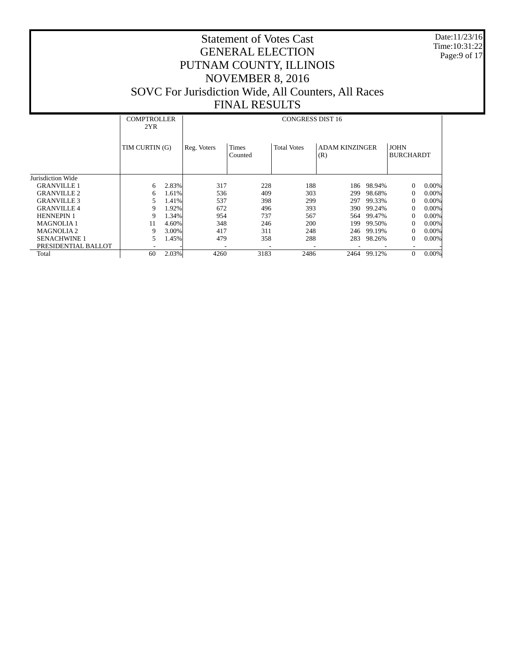Date:11/23/16 Time:10:31:22 Page:9 of 17

|                       | 2YR            | <b>COMPTROLLER</b><br><b>CONGRESS DIST 16</b> |             |                  |                    |                              |        |                                 |          |  |
|-----------------------|----------------|-----------------------------------------------|-------------|------------------|--------------------|------------------------------|--------|---------------------------------|----------|--|
|                       | TIM CURTIN (G) |                                               | Reg. Voters | Times<br>Counted | <b>Total Votes</b> | <b>ADAM KINZINGER</b><br>(R) |        | <b>JOHN</b><br><b>BURCHARDT</b> |          |  |
| Jurisdiction Wide     |                |                                               |             |                  |                    |                              |        |                                 |          |  |
| <b>GRANVILLE 1</b>    | 6              | 2.83%                                         | 317         | 228              | 188                | 186                          | 98.94% | $\Omega$                        | $0.00\%$ |  |
| <b>GRANVILLE 2</b>    | 6              | 1.61%                                         | 536         | 409              | 303                | 299                          | 98.68% | $\Omega$                        | 0.00%    |  |
| <b>GRANVILLE 3</b>    | 5              | 1.41%                                         | 537         | 398              | 299                | 297                          | 99.33% | 0                               | 0.00%    |  |
| <b>GRANVILLE 4</b>    | 9              | 1.92%                                         | 672         | 496              | 393                | 390                          | 99.24% | 0                               | $0.00\%$ |  |
| <b>HENNEPIN 1</b>     | 9              | 1.34%                                         | 954         | 737              | 567                | 564                          | 99.47% | $\Omega$                        | $0.00\%$ |  |
| <b>MAGNOLIA1</b>      | 11             | 4.60%                                         | 348         | 246              | 200                | 199                          | 99.50% | 0                               | $0.00\%$ |  |
| MAGNOLIA <sub>2</sub> | 9              | 3.00%                                         | 417         | 311              | 248                | 246                          | 99.19% | 0                               | $0.00\%$ |  |
| <b>SENACHWINE 1</b>   | 5              | 1.45%                                         | 479         | 358              | 288                | 283                          | 98.26% | 0                               | $0.00\%$ |  |
| PRESIDENTIAL BALLOT   |                |                                               |             |                  |                    |                              |        |                                 |          |  |
| Total                 | 60             | 2.03%                                         | 4260        | 3183             | 2486               | 2464                         | 99.12% | $\Omega$                        | $0.00\%$ |  |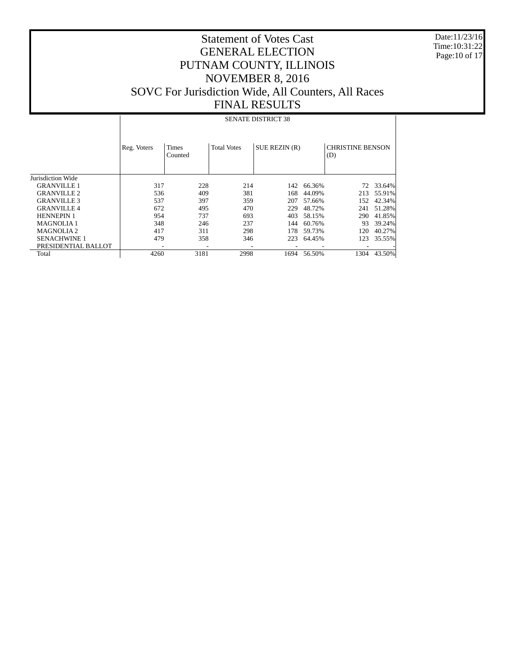Date:11/23/16 Time:10:31:22 Page:10 of 17

# Statement of Votes Cast GENERAL ELECTION PUTNAM COUNTY, ILLINOIS NOVEMBER 8, 2016 SOVC For Jurisdiction Wide, All Counters, All Races FINAL RESULTS

### SENATE DISTRICT 38

|                     | Reg. Voters | <b>Times</b><br>Counted  | <b>Total Votes</b> | SUE REZIN (R) |        | <b>CHRISTINE BENSON</b><br>(D) |        |
|---------------------|-------------|--------------------------|--------------------|---------------|--------|--------------------------------|--------|
| Jurisdiction Wide   |             |                          |                    |               |        |                                |        |
| <b>GRANVILLE 1</b>  | 317         | 228                      | 214                | 142           | 66.36% | 72                             | 33.64% |
| <b>GRANVILLE 2</b>  | 536         | 409                      | 381                | 168           | 44.09% | 213                            | 55.91% |
| <b>GRANVILLE 3</b>  | 537         | 397                      | 359                | 207           | 57.66% | 152                            | 42.34% |
| <b>GRANVILLE 4</b>  | 672         | 495                      | 470                | 229           | 48.72% | 241                            | 51.28% |
| <b>HENNEPIN 1</b>   | 954         | 737                      | 693                | 403           | 58.15% | 290                            | 41.85% |
| <b>MAGNOLIA1</b>    | 348         | 246                      | 237                | 144           | 60.76% | 93                             | 39.24% |
| <b>MAGNOLIA2</b>    | 417         | 311                      | 298                | 178           | 59.73% | 120                            | 40.27% |
| <b>SENACHWINE 1</b> | 479         | 358                      | 346                | 223           | 64.45% | 123                            | 35.55% |
| PRESIDENTIAL BALLOT |             | $\overline{\phantom{a}}$ |                    |               |        |                                |        |
| Total               | 4260        | 3181                     | 2998               | 1694          | 56.50% | 1304                           | 43.50% |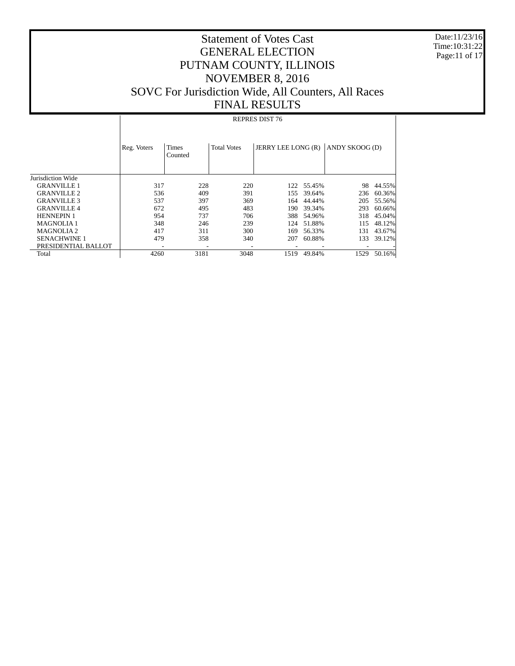Date:11/23/16 Time:10:31:22 Page:11 of 17

# Statement of Votes Cast GENERAL ELECTION PUTNAM COUNTY, ILLINOIS NOVEMBER 8, 2016 SOVC For Jurisdiction Wide, All Counters, All Races FINAL RESULTS

#### REPRES DIST 76

|                     | Reg. Voters | Times<br>Counted | <b>Total Votes</b> | JERRY LEE LONG (R) |            | ANDY SKOOG (D) |        |
|---------------------|-------------|------------------|--------------------|--------------------|------------|----------------|--------|
| Jurisdiction Wide   |             |                  |                    |                    |            |                |        |
| <b>GRANVILLE 1</b>  | 317         | 228              | 220                |                    | 122 55.45% | 98             | 44.55% |
| <b>GRANVILLE 2</b>  | 536         | 409              | 391                | 155                | 39.64%     | 236            | 60.36% |
| <b>GRANVILLE 3</b>  | 537         | 397              | 369                | 164                | 44.44%     | 205            | 55.56% |
| <b>GRANVILLE 4</b>  | 672         | 495              | 483                | 190                | 39.34%     | 293            | 60.66% |
| <b>HENNEPIN 1</b>   | 954         | 737              | 706                | 388                | 54.96%     | 318            | 45.04% |
| <b>MAGNOLIA1</b>    | 348         | 246              | 239                | 124                | 51.88%     | 115            | 48.12% |
| <b>MAGNOLIA2</b>    | 417         | 311              | 300                | 169                | 56.33%     | 131            | 43.67% |
| <b>SENACHWINE 1</b> | 479         | 358              | 340                | 207                | 60.88%     | 133            | 39.12% |
| PRESIDENTIAL BALLOT |             |                  |                    |                    |            |                |        |
| Total               | 4260        | 3181             | 3048               | 1519               | 49.84%     | 1529           | 50.16% |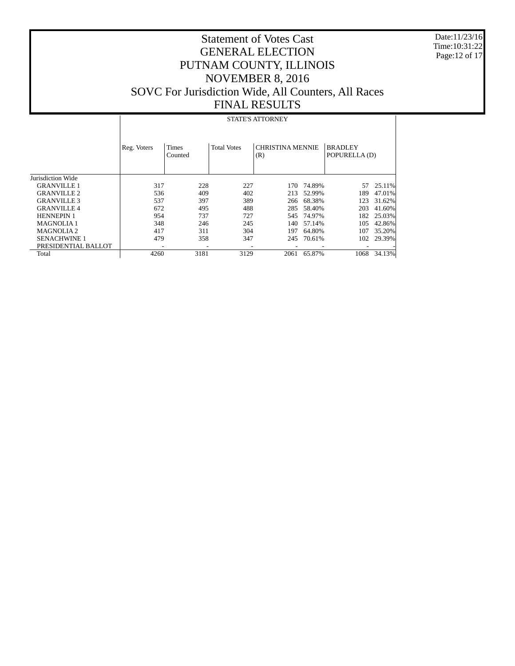Date:11/23/16 Time:10:31:22 Page:12 of 17

# Statement of Votes Cast GENERAL ELECTION PUTNAM COUNTY, ILLINOIS NOVEMBER 8, 2016 SOVC For Jurisdiction Wide, All Counters, All Races FINAL RESULTS

### STATE'S ATTORNEY

|                     | Reg. Voters | Times<br>Counted | <b>Total Votes</b> | <b>CHRISTINA MENNIE</b><br>(R) |            | <b>BRADLEY</b><br>POPURELLA (D) |        |
|---------------------|-------------|------------------|--------------------|--------------------------------|------------|---------------------------------|--------|
| Jurisdiction Wide   |             |                  |                    |                                |            |                                 |        |
| <b>GRANVILLE 1</b>  | 317         | 228              | 227                | 170                            | 74.89%     | 57                              | 25.11% |
| <b>GRANVILLE 2</b>  | 536         | 409              | 402                | 213                            | 52.99%     | 189                             | 47.01% |
| <b>GRANVILLE 3</b>  | 537         | 397              | 389                | 266                            | 68.38%     | 123                             | 31.62% |
| <b>GRANVILLE 4</b>  | 672         | 495              | 488                | 285                            | 58.40%     | 203                             | 41.60% |
| <b>HENNEPIN 1</b>   | 954         | 737              | 727                |                                | 545 74.97% | 182                             | 25.03% |
| <b>MAGNOLIA1</b>    | 348         | 246              | 245                | 140                            | 57.14%     | 105                             | 42.86% |
| <b>MAGNOLIA2</b>    | 417         | 311              | 304                | 197                            | 64.80%     | 107                             | 35.20% |
| <b>SENACHWINE 1</b> | 479         | 358              | 347                | 245                            | 70.61%     | 102                             | 29.39% |
| PRESIDENTIAL BALLOT |             |                  |                    |                                |            |                                 |        |
| Total               | 4260        | 3181             | 3129               | 2061                           | 65.87%     | 1068                            | 34.13% |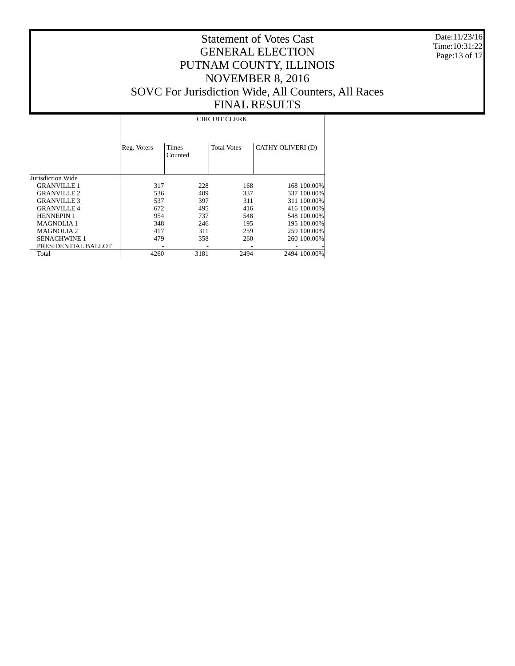Date:11/23/16 Time:10:31:22 Page:13 of 17

# Statement of Votes Cast GENERAL ELECTION PUTNAM COUNTY, ILLINOIS NOVEMBER 8, 2016 SOVC For Jurisdiction Wide, All Counters, All Races FINAL RESULTS

#### CIRCUIT CLERK

|                     | Reg. Voters | <b>Times</b><br>Counted | <b>Total Votes</b> | CATHY OLIVERI (D) |
|---------------------|-------------|-------------------------|--------------------|-------------------|
| Jurisdiction Wide   |             |                         |                    |                   |
| <b>GRANVILLE 1</b>  | 317         | 228                     | 168                | 168 100.00%       |
| <b>GRANVILLE 2</b>  | 536         | 409                     | 337                | 337 100.00%       |
| <b>GRANVILLE 3</b>  | 537         | 397                     | 311                | 311 100.00%       |
| <b>GRANVILLE 4</b>  | 672         | 495                     | 416                | 416 100.00%       |
| <b>HENNEPIN 1</b>   | 954         | 737                     | 548                | 548 100.00%       |
| <b>MAGNOLIA1</b>    | 348         | 246                     | 195                | 195 100.00%       |
| <b>MAGNOLIA2</b>    | 417         | 311                     | 259                | 259 100,00%       |
| <b>SENACHWINE 1</b> | 479         | 358                     | 260                | 260 100.00%       |
| PRESIDENTIAL BALLOT |             |                         |                    |                   |
| Total               | 4260        | 3181                    | 2494               | 2494 100.00%      |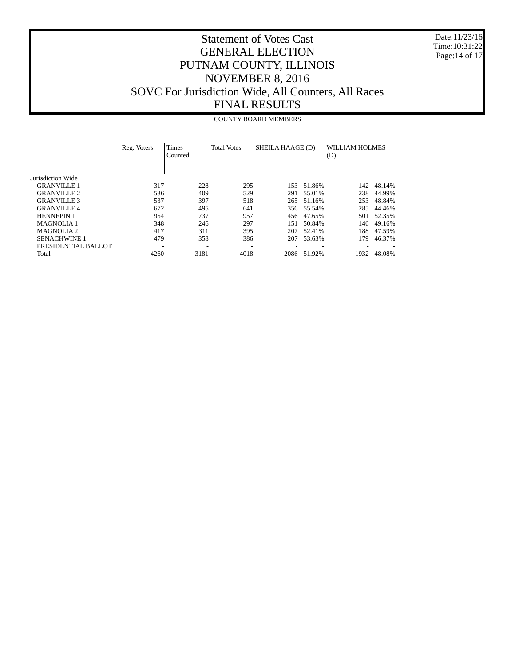Date:11/23/16 Time:10:31:22 Page:14 of 17

# Statement of Votes Cast GENERAL ELECTION PUTNAM COUNTY, ILLINOIS NOVEMBER 8, 2016 SOVC For Jurisdiction Wide, All Counters, All Races FINAL RESULTS

#### COUNTY BOARD MEMBERS

|                     | Reg. Voters | <b>Times</b><br>Counted | <b>Total Votes</b> | SHEILA HAAGE (D) |            | WILLIAM HOLMES<br>(D) |        |
|---------------------|-------------|-------------------------|--------------------|------------------|------------|-----------------------|--------|
| Jurisdiction Wide   |             |                         |                    |                  |            |                       |        |
| <b>GRANVILLE 1</b>  | 317         | 228                     | 295                | 153              | 51.86%     | 142                   | 48.14% |
| <b>GRANVILLE 2</b>  | 536         | 409                     | 529                | 291              | 55.01%     | 238                   | 44.99% |
| <b>GRANVILLE 3</b>  | 537         | 397                     | 518                | 265              | 51.16%     | 253                   | 48.84% |
| <b>GRANVILLE 4</b>  | 672         | 495                     | 641                |                  | 356 55.54% | 285                   | 44.46% |
| <b>HENNEPIN 1</b>   | 954         | 737                     | 957                | 456              | 47.65%     | 501                   | 52.35% |
| <b>MAGNOLIA1</b>    | 348         | 246                     | 297                | 151              | 50.84%     | 146                   | 49.16% |
| <b>MAGNOLIA2</b>    | 417         | 311                     | 395                | 207              | 52.41%     | 188                   | 47.59% |
| <b>SENACHWINE 1</b> | 479         | 358                     | 386                | 207              | 53.63%     | 179                   | 46.37% |
| PRESIDENTIAL BALLOT |             |                         |                    |                  |            |                       |        |
| Total               | 4260        | 3181                    | 4018               | 2086             | 51.92%     | 1932                  | 48.08% |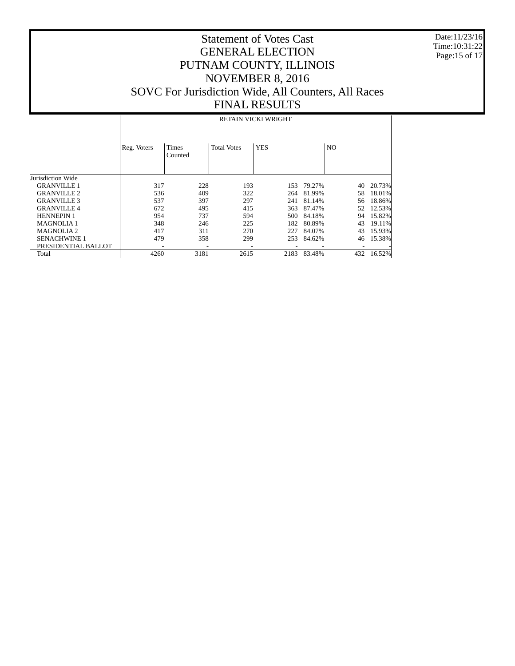Date:11/23/16 Time:10:31:22 Page:15 of 17

# Statement of Votes Cast GENERAL ELECTION PUTNAM COUNTY, ILLINOIS NOVEMBER 8, 2016 SOVC For Jurisdiction Wide, All Counters, All Races FINAL RESULTS

#### RETAIN VICKI WRIGHT

|                     | Reg. Voters | <b>Times</b><br>Counted | <b>Total Votes</b> | <b>YES</b> |            | N <sub>O</sub> |        |
|---------------------|-------------|-------------------------|--------------------|------------|------------|----------------|--------|
| Jurisdiction Wide   |             |                         |                    |            |            |                |        |
| <b>GRANVILLE 1</b>  | 317         | 228                     | 193                |            | 153 79.27% | 40             | 20.73% |
| <b>GRANVILLE 2</b>  | 536         | 409                     | 322                | 264        | 81.99%     | 58             | 18.01% |
| <b>GRANVILLE 3</b>  | 537         | 397                     | 297                | 241        | 81.14%     | 56             | 18.86% |
| <b>GRANVILLE 4</b>  | 672         | 495                     | 415                | 363        | 87.47%     | 52             | 12.53% |
| <b>HENNEPIN 1</b>   | 954         | 737                     | 594                | 500        | 84.18%     | 94             | 15.82% |
| <b>MAGNOLIA1</b>    | 348         | 246                     | 225                | 182        | 80.89%     | 43             | 19.11% |
| <b>MAGNOLIA2</b>    | 417         | 311                     | 270                | 227        | 84.07%     | 43             | 15.93% |
| <b>SENACHWINE 1</b> | 479         | 358                     | 299                | 253        | 84.62%     | 46             | 15.38% |
| PRESIDENTIAL BALLOT |             |                         |                    |            |            |                |        |
| Total               | 4260        | 3181                    | 2615               | 2183       | 83.48%     | 432            | 16.52% |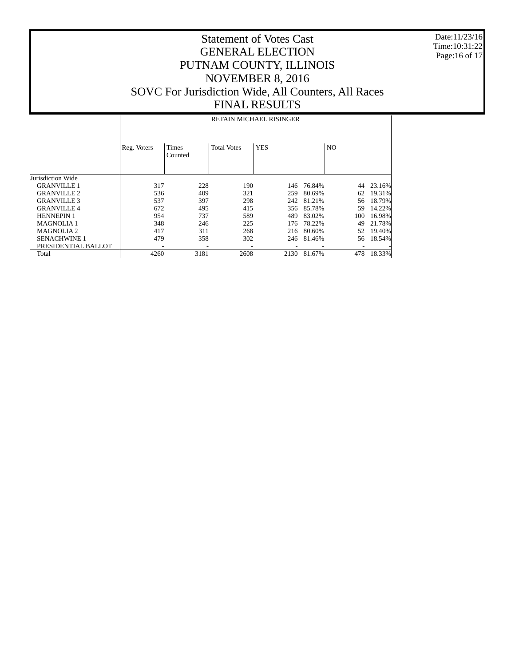Date:11/23/16 Time:10:31:22 Page:16 of 17

### Statement of Votes Cast GENERAL ELECTION PUTNAM COUNTY, ILLINOIS NOVEMBER 8, 2016 SOVC For Jurisdiction Wide, All Counters, All Races FINAL RESULTS

#### Jurisdiction Wide GRANVILLE 1 GRANVILLE 2 GRANVILLE 3 GRANVILLE 4 HENNEPIN 1 MAGNOLIA 1 MAGNOLIA 2 SENACHWINE 1 PRESIDENTIAL BALLOT **Total** Reg. Voters | Times Counted Total Votes | YES | NO RETAIN MICHAEL RISINGER 317 228 190 146 76.84% 44 23.16%<br>536 409 321 259 80.69% 62 19.31% 536 409 321 259 80.69% 62 19.31% 537 397 298 242 81.21% 56 18.79% 672 495 415 356 85.78% 59 14.22% 589 489 83.02%<br>225 176 78.22% 348 246 225 176 78.22% 49 21.78% 216 80.60% 479 358 302 246 81.46% 56 18.54% - - - - - - - 4260 3181 2608 2130 81.67% 478 18.33%